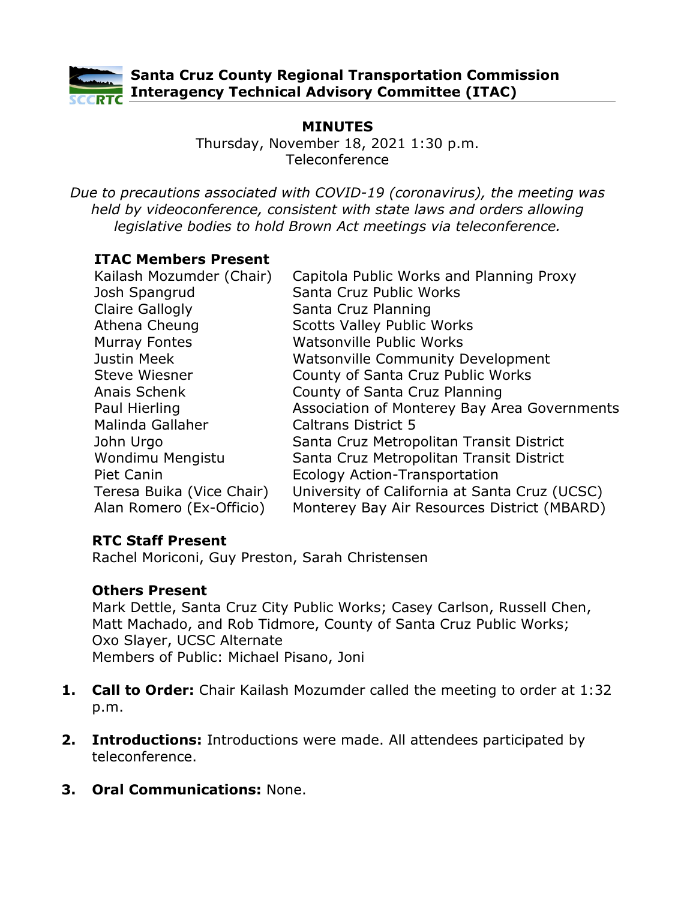

### **Santa Cruz County Regional Transportation Commission Interagency Technical Advisory Committee (ITAC)**

## **MINUTES**

Thursday, November 18, 2021 1:30 p.m. Teleconference

*Due to precautions associated with COVID-19 (coronavirus), the meeting was held by videoconference, consistent with state laws and orders allowing legislative bodies to hold Brown Act meetings via teleconference.*

### **ITAC Members Present**

| Kailash Mozumder (Chair)  | Capitola Public Works and Planning Proxy      |
|---------------------------|-----------------------------------------------|
| Josh Spangrud             | Santa Cruz Public Works                       |
| <b>Claire Gallogly</b>    | Santa Cruz Planning                           |
| Athena Cheung             | <b>Scotts Valley Public Works</b>             |
| <b>Murray Fontes</b>      | Watsonville Public Works                      |
| Justin Meek               | <b>Watsonville Community Development</b>      |
| <b>Steve Wiesner</b>      | County of Santa Cruz Public Works             |
| Anais Schenk              | County of Santa Cruz Planning                 |
| Paul Hierling             | Association of Monterey Bay Area Governments  |
| Malinda Gallaher          | <b>Caltrans District 5</b>                    |
| John Urgo                 | Santa Cruz Metropolitan Transit District      |
| Wondimu Mengistu          | Santa Cruz Metropolitan Transit District      |
| <b>Piet Canin</b>         | Ecology Action-Transportation                 |
| Teresa Buika (Vice Chair) | University of California at Santa Cruz (UCSC) |
| Alan Romero (Ex-Officio)  | Monterey Bay Air Resources District (MBARD)   |
|                           |                                               |

### **RTC Staff Present**

Rachel Moriconi, Guy Preston, Sarah Christensen

### **Others Present**

Mark Dettle, Santa Cruz City Public Works; Casey Carlson, Russell Chen, Matt Machado, and Rob Tidmore, County of Santa Cruz Public Works; Oxo Slayer, UCSC Alternate Members of Public: Michael Pisano, Joni

- **1. Call to Order:** Chair Kailash Mozumder called the meeting to order at 1:32 p.m.
- **2. Introductions:** Introductions were made. All attendees participated by teleconference.
- **3. Oral Communications:** None.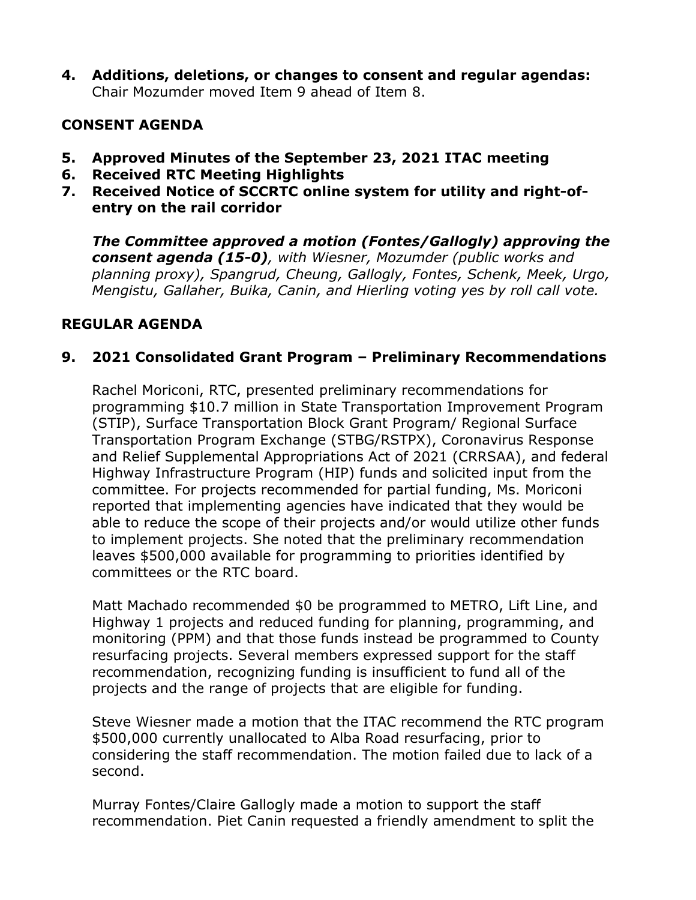**4. Additions, deletions, or changes to consent and regular agendas:** Chair Mozumder moved Item 9 ahead of Item 8.

### **CONSENT AGENDA**

- **5. Approved Minutes of the September 23, 2021 ITAC meeting**
- **6. Received RTC Meeting Highlights**
- **7. Received Notice of SCCRTC online system for utility and right-ofentry on the rail corridor**

*The Committee approved a motion (Fontes/Gallogly) approving the consent agenda (15-0), with Wiesner, Mozumder (public works and planning proxy), Spangrud, Cheung, Gallogly, Fontes, Schenk, Meek, Urgo, Mengistu, Gallaher, Buika, Canin, and Hierling voting yes by roll call vote.* 

## **REGULAR AGENDA**

## **9. 2021 Consolidated Grant Program – Preliminary Recommendations**

Rachel Moriconi, RTC, presented preliminary recommendations for programming \$10.7 million in State Transportation Improvement Program (STIP), Surface Transportation Block Grant Program/ Regional Surface Transportation Program Exchange (STBG/RSTPX), Coronavirus Response and Relief Supplemental Appropriations Act of 2021 (CRRSAA), and federal Highway Infrastructure Program (HIP) funds and solicited input from the committee. For projects recommended for partial funding, Ms. Moriconi reported that implementing agencies have indicated that they would be able to reduce the scope of their projects and/or would utilize other funds to implement projects. She noted that the preliminary recommendation leaves \$500,000 available for programming to priorities identified by committees or the RTC board.

Matt Machado recommended \$0 be programmed to METRO, Lift Line, and Highway 1 projects and reduced funding for planning, programming, and monitoring (PPM) and that those funds instead be programmed to County resurfacing projects. Several members expressed support for the staff recommendation, recognizing funding is insufficient to fund all of the projects and the range of projects that are eligible for funding.

Steve Wiesner made a motion that the ITAC recommend the RTC program \$500,000 currently unallocated to Alba Road resurfacing, prior to considering the staff recommendation. The motion failed due to lack of a second.

Murray Fontes/Claire Gallogly made a motion to support the staff recommendation. Piet Canin requested a friendly amendment to split the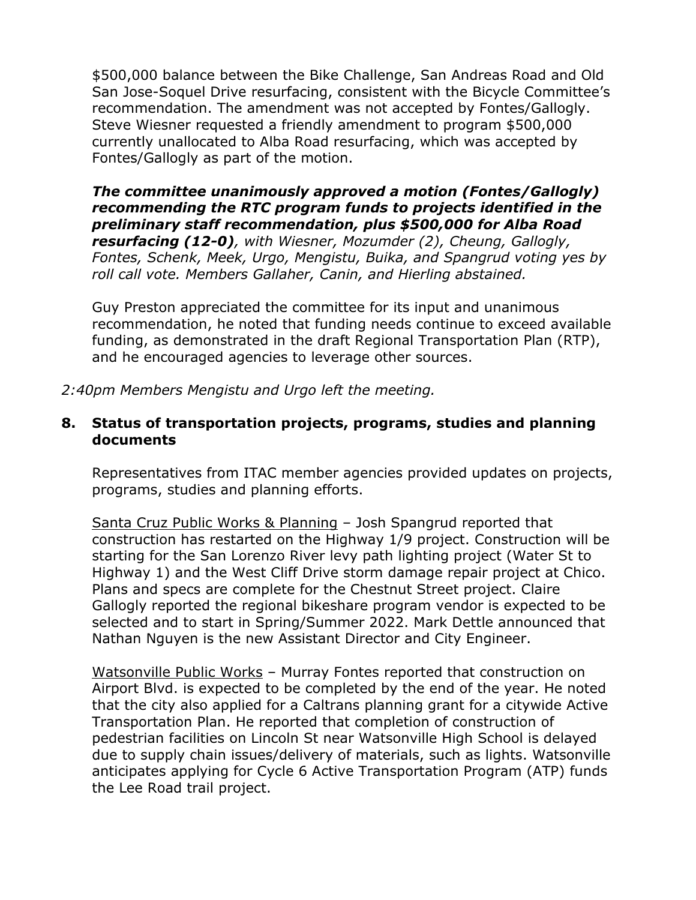\$500,000 balance between the Bike Challenge, San Andreas Road and Old San Jose-Soquel Drive resurfacing, consistent with the Bicycle Committee's recommendation. The amendment was not accepted by Fontes/Gallogly. Steve Wiesner requested a friendly amendment to program \$500,000 currently unallocated to Alba Road resurfacing, which was accepted by Fontes/Gallogly as part of the motion.

### *The committee unanimously approved a motion (Fontes/Gallogly) recommending the RTC program funds to projects identified in the preliminary staff recommendation, plus \$500,000 for Alba Road*

*resurfacing (12-0), with Wiesner, Mozumder (2), Cheung, Gallogly, Fontes, Schenk, Meek, Urgo, Mengistu, Buika, and Spangrud voting yes by roll call vote. Members Gallaher, Canin, and Hierling abstained.*

Guy Preston appreciated the committee for its input and unanimous recommendation, he noted that funding needs continue to exceed available funding, as demonstrated in the draft Regional Transportation Plan (RTP), and he encouraged agencies to leverage other sources.

*2:40pm Members Mengistu and Urgo left the meeting.*

### **8. Status of transportation projects, programs, studies and planning documents**

Representatives from ITAC member agencies provided updates on projects, programs, studies and planning efforts.

Santa Cruz Public Works & Planning – Josh Spangrud reported that construction has restarted on the Highway 1/9 project. Construction will be starting for the San Lorenzo River levy path lighting project (Water St to Highway 1) and the West Cliff Drive storm damage repair project at Chico. Plans and specs are complete for the Chestnut Street project. Claire Gallogly reported the regional bikeshare program vendor is expected to be selected and to start in Spring/Summer 2022. Mark Dettle announced that Nathan Nguyen is the new Assistant Director and City Engineer.

Watsonville Public Works – Murray Fontes reported that construction on Airport Blvd. is expected to be completed by the end of the year. He noted that the city also applied for a Caltrans planning grant for a citywide Active Transportation Plan. He reported that completion of construction of pedestrian facilities on Lincoln St near Watsonville High School is delayed due to supply chain issues/delivery of materials, such as lights. Watsonville anticipates applying for Cycle 6 Active Transportation Program (ATP) funds the Lee Road trail project.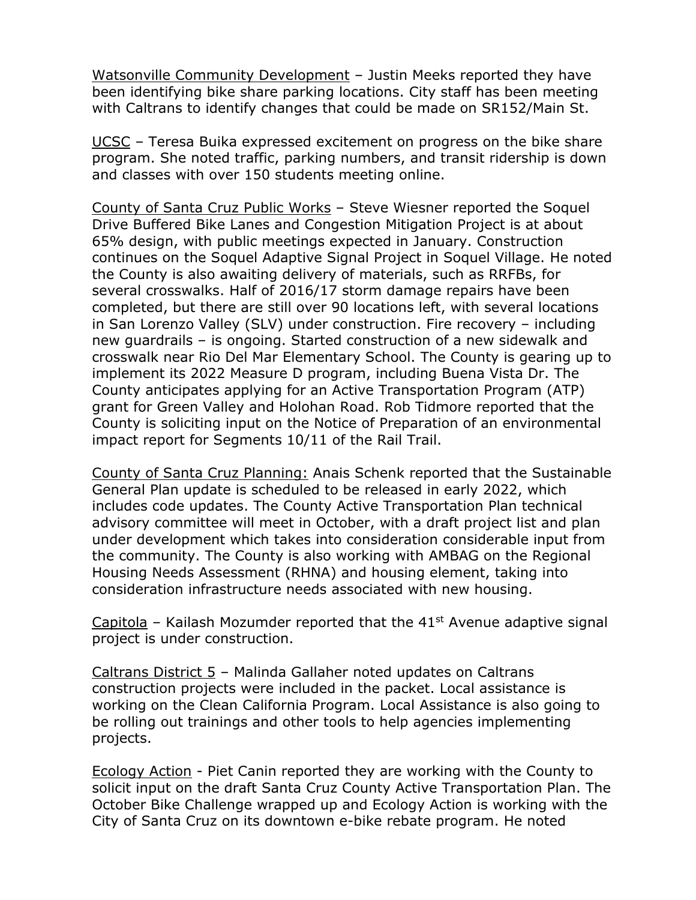Watsonville Community Development – Justin Meeks reported they have been identifying bike share parking locations. City staff has been meeting with Caltrans to identify changes that could be made on SR152/Main St.

UCSC – Teresa Buika expressed excitement on progress on the bike share program. She noted traffic, parking numbers, and transit ridership is down and classes with over 150 students meeting online.

County of Santa Cruz Public Works – Steve Wiesner reported the Soquel Drive Buffered Bike Lanes and Congestion Mitigation Project is at about 65% design, with public meetings expected in January. Construction continues on the Soquel Adaptive Signal Project in Soquel Village. He noted the County is also awaiting delivery of materials, such as RRFBs, for several crosswalks. Half of 2016/17 storm damage repairs have been completed, but there are still over 90 locations left, with several locations in San Lorenzo Valley (SLV) under construction. Fire recovery – including new guardrails – is ongoing. Started construction of a new sidewalk and crosswalk near Rio Del Mar Elementary School. The County is gearing up to implement its 2022 Measure D program, including Buena Vista Dr. The County anticipates applying for an Active Transportation Program (ATP) grant for Green Valley and Holohan Road. Rob Tidmore reported that the County is soliciting input on the Notice of Preparation of an environmental impact report for Segments 10/11 of the Rail Trail.

County of Santa Cruz Planning: Anais Schenk reported that the Sustainable General Plan update is scheduled to be released in early 2022, which includes code updates. The County Active Transportation Plan technical advisory committee will meet in October, with a draft project list and plan under development which takes into consideration considerable input from the community. The County is also working with AMBAG on the Regional Housing Needs Assessment (RHNA) and housing element, taking into consideration infrastructure needs associated with new housing.

Capitola – Kailash Mozumder reported that the  $41<sup>st</sup>$  Avenue adaptive signal project is under construction.

Caltrans District 5 – Malinda Gallaher noted updates on Caltrans construction projects were included in the packet. Local assistance is working on the Clean California Program. Local Assistance is also going to be rolling out trainings and other tools to help agencies implementing projects.

Ecology Action - Piet Canin reported they are working with the County to solicit input on the draft Santa Cruz County Active Transportation Plan. The October Bike Challenge wrapped up and Ecology Action is working with the City of Santa Cruz on its downtown e-bike rebate program. He noted